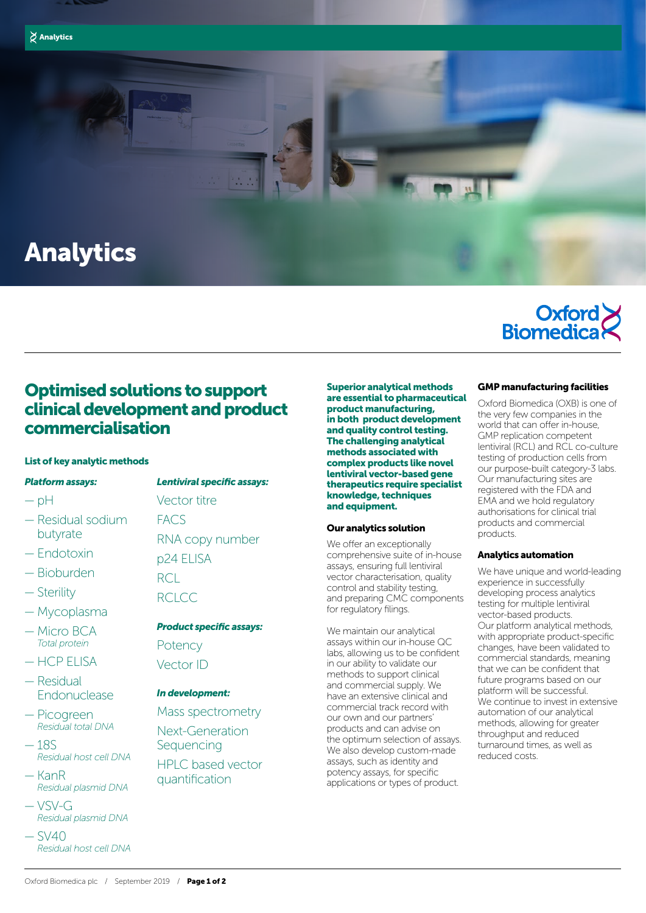



# Analytics



# Optimised solutions to support clinical development and product commercialisation

### List of key analytic methods

#### *Platform assays:*

- $-\rho H$
- Residual sodium butyrate
- Endotoxin
- Bioburden
- Sterility
- Mycoplasma
- Micro BCA *Total protein*
- HCP ELISA
- Residual Endonuclease
- Picogreen *Residual total DNA*
- 18S *Residual host cell DNA*
- KanR *Residual plasmid DNA*
- VSV-G *Residual plasmid DNA*
- $-$  SV40 *Residual host cell DNA*

*Lentiviral specific assays:*  Vector titre **FACS** RNA copy number p24 ELISA R<sub>CL</sub> RCLCC

# *Product specific assays:*  Potency

Vector ID

## *In development:*

Mass spectrometry Next-Generation **Sequencing** HPLC based vector quantification

Superior analytical methods are essential to pharmaceutical product manufacturing, in both product development and quality control testing. The challenging analytical methods associated with complex products like novel lentiviral vector-based gene therapeutics require specialist knowledge, techniques and equipment.

## Our analytics solution

We offer an exceptionally comprehensive suite of in-house assays, ensuring full lentiviral vector characterisation, quality control and stability testing, and preparing CMC components for regulatory filings.

We maintain our analytical assays within our in-house QC labs, allowing us to be confident in our ability to validate our methods to support clinical and commercial supply. We have an extensive clinical and commercial track record with our own and our partners' products and can advise on the optimum selection of assays. We also develop custom-made assays, such as identity and potency assays, for specific applications or types of product.

## GMP manufacturing facilities

Oxford Biomedica (OXB) is one of the very few companies in the world that can offer in-house, GMP replication competent lentiviral (RCL) and RCL co-culture testing of production cells from our purpose-built category-3 labs. Our manufacturing sites are registered with the FDA and EMA and we hold regulatory authorisations for clinical trial products and commercial products.

#### Analytics automation

We have unique and world-leading experience in successfully developing process analytics testing for multiple lentiviral vector-based products. Our platform analytical methods, with appropriate product-specific changes, have been validated to commercial standards, meaning that we can be confident that future programs based on our platform will be successful. We continue to invest in extensive automation of our analytical methods, allowing for greater throughput and reduced turnaround times, as well as reduced costs.